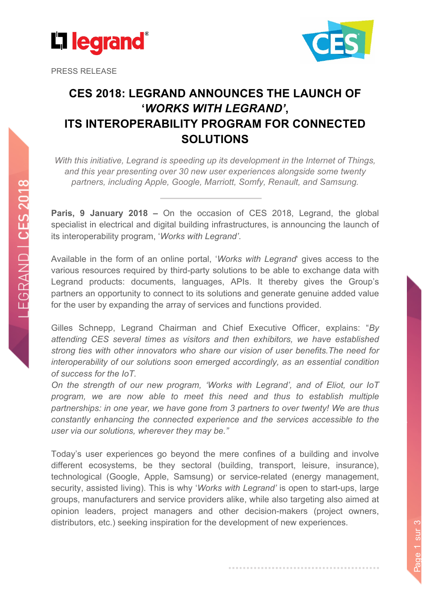

PRESS RELEASE



# **CES 2018: LEGRAND ANNOUNCES THE LAUNCH OF '***WORKS WITH LEGRAND'* **, ITS INTEROPERABILITY PROGRAM FOR CONNECTED SOLUTIONS**

*With this initiative, Legrand is speeding up its development in the Internet of Things, and this year presenting over 30 new user experiences alongside some twenty partners, including Apple, Google, Marriott, Somfy, Renault, and Samsung.* 

**Paris, 9 January 2018 –** On the occasion of CES 2018, Legrand, the global specialist in electrical and digital building infrastructures, is announcing the launch of its interoperability program, '*Works with Legrand'*.

Available in the form of an online portal, '*Works with Legrand*' gives access to the various resources required by third-party solutions to be able to exchange data with Legrand products: documents, languages, APIs. It thereby gives the Group's partners an opportunity to connect to its solutions and generate genuine added value for the user by expanding the array of services and functions provided.

Gilles Schnepp, Legrand Chairman and Chief Executive Officer, explains: "*By attending CES several times as visitors and then exhibitors, we have established strong ties with other innovators who share our vision of user benefits.The need for interoperability of our solutions soon emerged accordingly, as an essential condition of success for the IoT.*

*On the strength of our new program, 'Works with Legrand', and of Eliot, our IoT program, we are now able to meet this need and thus to establish multiple partnerships: in one year, we have gone from 3 partners to over twenty! We are thus constantly enhancing the connected experience and the services accessible to the user via our solutions, wherever they may be."*

Today's user experiences go beyond the mere confines of a building and involve different ecosystems, be they sectoral (building, transport, leisure, insurance), technological (Google, Apple, Samsung) or service-related (energy management, security, assisted living). This is why '*Works with Legrand'* is open to start-ups, large groups, manufacturers and service providers alike, while also targeting also aimed at opinion leaders, project managers and other decision-makers (project owners, distributors, etc.) seeking inspiration for the development of new experiences.

Page 1 sur 3 Page 1 sur 3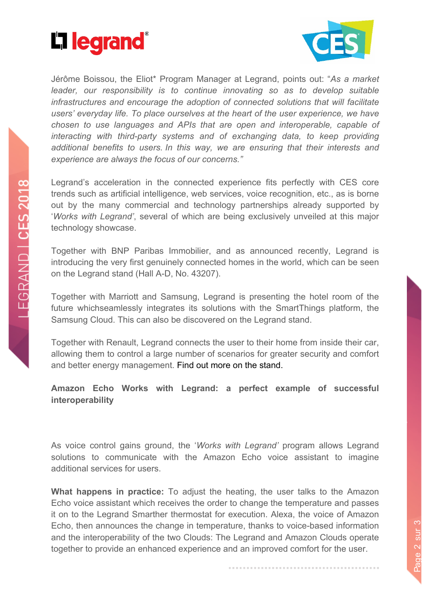



Jérôme Boissou, the Eliot\* Program Manager at Legrand, points out: "*As a market leader, our responsibility is to continue innovating so as to develop suitable infrastructures and encourage the adoption of connected solutions that will facilitate users' everyday life. To place ourselves at the heart of the user experience, we have chosen to use languages and APIs that are open and interoperable, capable of interacting with third-party systems and of exchanging data, to keep providing additional benefits to users. In this way, we are ensuring that their interests and experience are always the focus of our concerns."*

Legrand's acceleration in the connected experience fits perfectly with CES core trends such as artificial intelligence, web services, voice recognition, etc., as is borne out by the many commercial and technology partnerships already supported by '*Works with Legrand'*, several of which are being exclusively unveiled at this major technology showcase.

Together with BNP Paribas Immobilier, and as announced recently, Legrand is introducing the very first genuinely connected homes in the world, which can be seen on the Legrand stand (Hall A-D, No. 43207).

Together with Marriott and Samsung, Legrand is presenting the hotel room of the future whichseamlessly integrates its solutions with the SmartThings platform, the Samsung Cloud. This can also be discovered on the Legrand stand.

Together with Renault, Legrand connects the user to their home from inside their car, allowing them to control a large number of scenarios for greater security and comfort and better energy management. Find out more on the stand.

**Amazon Echo Works with Legrand: a perfect example of successful interoperability**

As voice control gains ground, the '*Works with Legrand'* program allows Legrand solutions to communicate with the Amazon Echo voice assistant to imagine additional services for users.

**What happens in practice:** To adjust the heating, the user talks to the Amazon Echo voice assistant which receives the order to change the temperature and passes it on to the Legrand Smarther thermostat for execution. Alexa, the voice of Amazon Echo, then announces the change in temperature, thanks to voice-based information and the interoperability of the two Clouds: The Legrand and Amazon Clouds operate together to provide an enhanced experience and an improved comfort for the user.